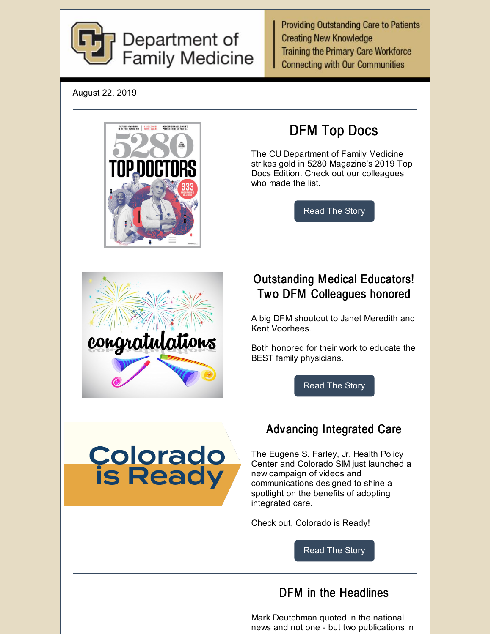

**Providing Outstanding Care to Patients Creating New Knowledge Training the Primary Care Workforce Connecting with Our Communities** 

August 22, 2019





# DFM Top Docs

The CU Department of Family Medicine strikes gold in 5280 Magazine's 2019 Top Docs Edition. Check out our colleagues who made the list.

[Read](https://medschool.cuanschutz.edu/family-medicine/about/news/communication-hub/dfm-top-docs) The Story

### Outstanding Medical Educators! Two DFM Colleagues honored

A big DFM shoutout to Janet Meredith and Kent Voorhees.

Both honored for their work to educate the BEST family physicians.

[Read](https://medschool.cuanschutz.edu/family-medicine/about/news/communication-hub/dfm-medical-educators-honored) The Story



### Advancing Integrated Care

The Eugene S. Farley, Jr. Health Policy Center and Colorado SIM just launched a new campaign of videos and communications designed to shine a spotlight on the benefits of adopting integrated care.

Check out, Colorado is Ready!

[Read](https://medschool.cuanschutz.edu/family-medicine/about/news/communication-hub/colorado-is-ready) The Story

#### DFM in the Headlines

Mark Deutchman quoted in the national news and not one - but two publications in